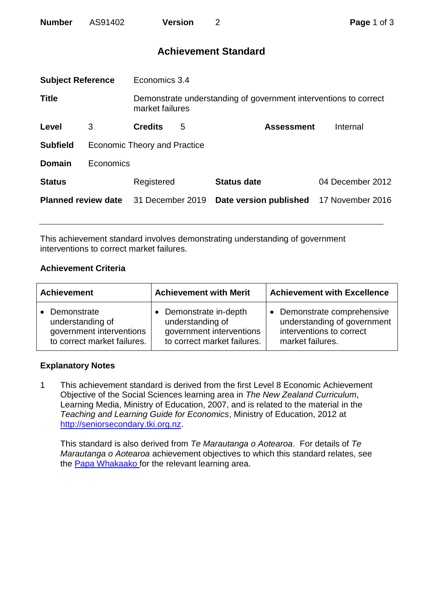| AS91402<br><b>Number</b><br><b>Version</b> |
|--------------------------------------------|
|--------------------------------------------|

# **Achievement Standard**

| <b>Subject Reference</b>   |                                     | Economics 3.4                                                                       |   |                        |                  |  |
|----------------------------|-------------------------------------|-------------------------------------------------------------------------------------|---|------------------------|------------------|--|
| <b>Title</b>               |                                     | Demonstrate understanding of government interventions to correct<br>market failures |   |                        |                  |  |
| Level                      | 3                                   | <b>Credits</b>                                                                      | 5 | <b>Assessment</b>      | Internal         |  |
| <b>Subfield</b>            | <b>Economic Theory and Practice</b> |                                                                                     |   |                        |                  |  |
| <b>Domain</b>              | Economics                           |                                                                                     |   |                        |                  |  |
| <b>Status</b>              |                                     | Registered                                                                          |   | <b>Status date</b>     | 04 December 2012 |  |
| <b>Planned review date</b> |                                     | 31 December 2019                                                                    |   | Date version published | 17 November 2016 |  |
|                            |                                     |                                                                                     |   |                        |                  |  |

This achievement standard involves demonstrating understanding of government interventions to correct market failures.

### **Achievement Criteria**

| <b>Achievement</b>                                                                           | <b>Achievement with Merit</b>                                                                                    | <b>Achievement with Excellence</b>                                                                                    |  |
|----------------------------------------------------------------------------------------------|------------------------------------------------------------------------------------------------------------------|-----------------------------------------------------------------------------------------------------------------------|--|
| • Demonstrate<br>understanding of<br>government interventions<br>to correct market failures. | Demonstrate in-depth<br>$\bullet$<br>understanding of<br>government interventions<br>to correct market failures. | Demonstrate comprehensive<br>$\bullet$<br>understanding of government<br>interventions to correct<br>market failures. |  |

#### **Explanatory Notes**

1 This achievement standard is derived from the first Level 8 Economic Achievement Objective of the Social Sciences learning area in *The New Zealand Curriculum*, Learning Media, Ministry of Education, 2007, and is related to the material in the *Teaching and Learning Guide for Economics*, Ministry of Education, 2012 at [http://seniorsecondary.tki.org.nz.](http://seniorsecondary.tki.org.nz/)

This standard is also derived from *Te Marautanga o Aotearoa*. For details of *Te Marautanga o Aotearoa* achievement objectives to which this standard relates, see the [Papa Whakaako](http://tmoa.tki.org.nz/Te-Marautanga-o-Aotearoa/Taumata-Matauranga-a-Motu-Ka-Taea) for the relevant learning area.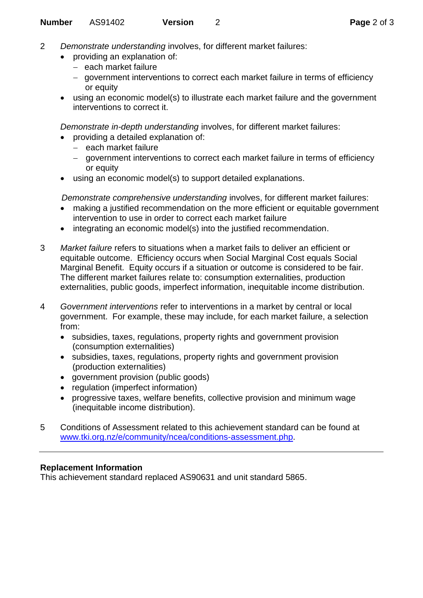- 2 *Demonstrate understanding* involves, for different market failures:
	- providing an explanation of:
		- each market failure
		- government interventions to correct each market failure in terms of efficiency or equity
		- using an economic model(s) to illustrate each market failure and the government interventions to correct it.

*Demonstrate in-depth understanding* involves, for different market failures:

- providing a detailed explanation of:
	- $-$  each market failure
	- government interventions to correct each market failure in terms of efficiency or equity
- using an economic model(s) to support detailed explanations.

*Demonstrate comprehensive understanding* involves, for different market failures:

- making a justified recommendation on the more efficient or equitable government intervention to use in order to correct each market failure
- integrating an economic model(s) into the justified recommendation.
- 3 *Market failure* refers to situations when a market fails to deliver an efficient or equitable outcome. Efficiency occurs when Social Marginal Cost equals Social Marginal Benefit. Equity occurs if a situation or outcome is considered to be fair. The different market failures relate to: consumption externalities, production externalities, public goods, imperfect information, inequitable income distribution.
- 4 *Government interventions* refer to interventions in a market by central or local government. For example, these may include, for each market failure, a selection from:
	- subsidies, taxes, regulations, property rights and government provision (consumption externalities)
	- subsidies, taxes, regulations, property rights and government provision (production externalities)
	- government provision (public goods)
	- regulation (imperfect information)
	- progressive taxes, welfare benefits, collective provision and minimum wage (inequitable income distribution).
- 5 Conditions of Assessment related to this achievement standard can be found at [www.tki.org.nz/e/community/ncea/conditions-assessment.php.](http://www.tki.org.nz/e/community/ncea/conditions-assessment.php)

## **Replacement Information**

This achievement standard replaced AS90631 and unit standard 5865.